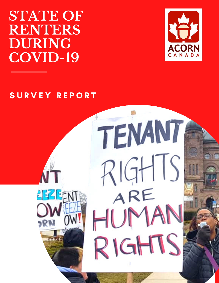**STATE OF RENTERS DURING COVID-19**



### SURVEY REPORT

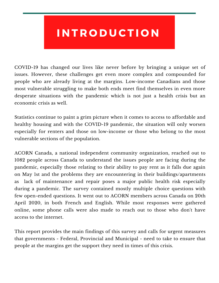## IN TRODUCTION

COVID-19 has changed our lives like never before by bringing a unique set of issues. However, these challenges get even more complex and compounded for people who are already living at the margins. Low-income Canadians and those most vulnerable struggling to make both ends meet find themselves in even more desperate situations with the pandemic which is not just a health crisis but an economic crisis as well.

Statistics continue to paint a grim picture when it comes to access to affordable and healthy housing and with the COVID-19 pandemic, the situation will only worsen especially for renters and those on low-income or those who belong to the most vulnerable sections of the population.

ACORN Canada, a national independent community organization, reached out to 1082 people across Canada to understand the issues people are facing during the pandemic, especially those relating to their ability to pay rent as it falls due again on May 1st and the problems they are encountering in their buildings/apartments as lack of maintenance and repair poses a major public health risk especially during a pandemic. The survey contained mostly multiple choice questions with few open-ended questions. It went out to ACORN members across Canada on 20th April 2020, in both French and English. While most responses were gathered online, some phone calls were also made to reach out to those who don't have access to the internet.

This report provides the main findings of this survey and calls for urgent measures that governments - Federal, Provincial and Municipal - need to take to ensure that people at the margins get the support they need in times of this crisis.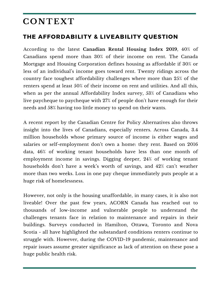## **CONT EXT**

#### THE AFFORDABILITY & LIVEABILITY QUESTION

According to the latest **Canadian Rental Housing Index 2019**, 40% of Canadians spend more than 30% of their income on rent. The Canada Mortgage and Housing Corporation defines housing as affordable if 30% or less of an individual's income goes toward rent. Twenty ridings across the country face toughest affordability challenges where more than 25% of the renters spend at least 50% of their income on rent and utilities. And all this, when as per the annual Affordability Index survey, 53% of Canadians who live paycheque to paycheque with 27% of people don't have enough for their needs and 58% having too little money to spend on their wants.

A recent report by the Canadian Centre for Policy Alternatives also throws insight into the lives of Canadians, especially renters. Across Canada, 3.4 million households whose primary source of income is either wages and salaries or self-employment don't own a home: they rent. Based on 2016 data, 46% of working tenant households have less than one month of employment income in savings. Digging deeper, 24% of working tenant households don't have a week's worth of savings, and 42% can't weather more than two weeks. Loss in one pay cheque immediately puts people at a huge risk of homelessness.

However, not only is the housing unaffordable, in many cases, it is also not liveable! Over the past few years, ACORN Canada has reached out to thousands of low-income and vulnerable people to understand the challenges tenants face in relation to maintenance and repairs in their buildings. Surveys conducted in Hamilton, Ottawa, Toronto and Nova Scotia - all have highlighted the substandard conditions renters continue to struggle with. However, during the COVID-19 pandemic, maintenance and repair issues assume greater significance as lack of attention on these pose a huge public health risk.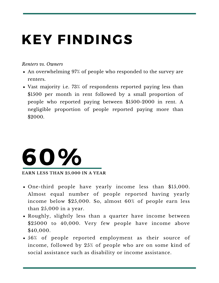# KEY FINDINGS

#### *Renters vs. Owners*

- An overwhelming 97% of people who responded to the survey are renters.
- Vast majority i.e. 73% of respondents reported paying less than \$1500 per month in rent followed by a small proportion of people who reported paying between \$1500-2000 in rent. A negligible proportion of people reported paying more than \$2000.



- One-third people have yearly income less than \$15,000. Almost equal number of people reported having yearly income below \$25,000. So, almost 60% of people earn less than 25,000 in a year.
- Roughly, slightly less than a quarter have income between \$25000 to 40,000. Very few people have income above \$40,000.
- 56% of people reported employment as their source of income, followed by 25% of people who are on some kind of social assistance such as disability or income assistance.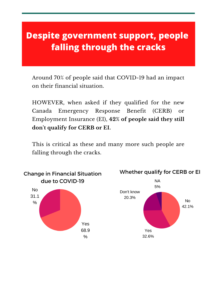#### **Despite government support, people** S E V E R A L PE O PL E F A L L I N G T H O U G H **THE E C R AN E C R A C R A C R A C R A C R A C R A C R A C R A C R A C R A C R A C R A C R A C R A C R A C R A falling through the cracks**

Around 70% of people said that COVID-19 had an impact on their financial situation.

HOWEVER, when asked if they qualified for the new Canada Emergency Response Benefit (CERB) or Employment Insurance (EI), **42% of people said they still don't qualify for CERB or EI.**

This is critical as these and many more such people are falling through the cracks.

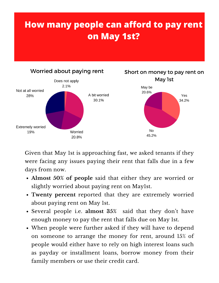## **How many people can afford to pay rent on May 1st?**



Given that May 1st is approaching fast, we asked tenants if they were facing any issues paying their rent that falls due in a few days from now.

- **Almost 50% of people** said that either they are worried or slightly worried about paying rent on May1st.
- **Twenty percent** reported that they are extremely worried about paying rent on May 1st.
- Several people i.e. **almost 35%** said that they don't have enough money to pay the rent that falls due on May 1st.
- When people were further asked if they will have to depend on someone to arrange the money for rent, around 15% of people would either have to rely on high interest loans such as payday or installment loans, borrow money from their family members or use their credit card.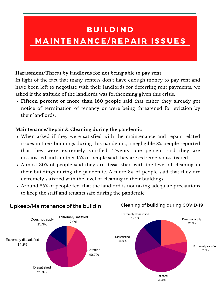## **BUILDIND** M A IN TEN AN CE / REPAIR ISSUES

#### **Harassment/Threat by landlords for not being able to pay rent**

In light of the fact that many renters don't have enough money to pay rent and have been left to negotiate with their landlords for deferring rent payments, we asked if the attitude of the landlords was forthcoming given this crisis.

**Fifteen percent or more than 160 people** said that either they already got notice of termination of tenancy or were being threatened for eviction by their landlords.

#### **Maintenance/Repair & Cleaning during the pandemic**

- When asked if they were satisfied with the maintenance and repair related issues in their buildings during this pandemic, a negligible 8% people reported that they were extremely satisfied. Twenty one percent said they are dissatisfied and another 15% of people said they are extremely dissatisfied.
- Almost 30% of people said they are dissatisfied with the level of cleaning in their buildings during the pandemic. A mere 8% of people said that they are extremely satisfied with the level of cleaning in their buildings.
- Around 25% of people feel that the landlord is not taking adequate precautions to keep the staff and tenants safe during the pandemic.

Cleaning of building during COVID-19



#### Upkeep/Maintenance of the buildin